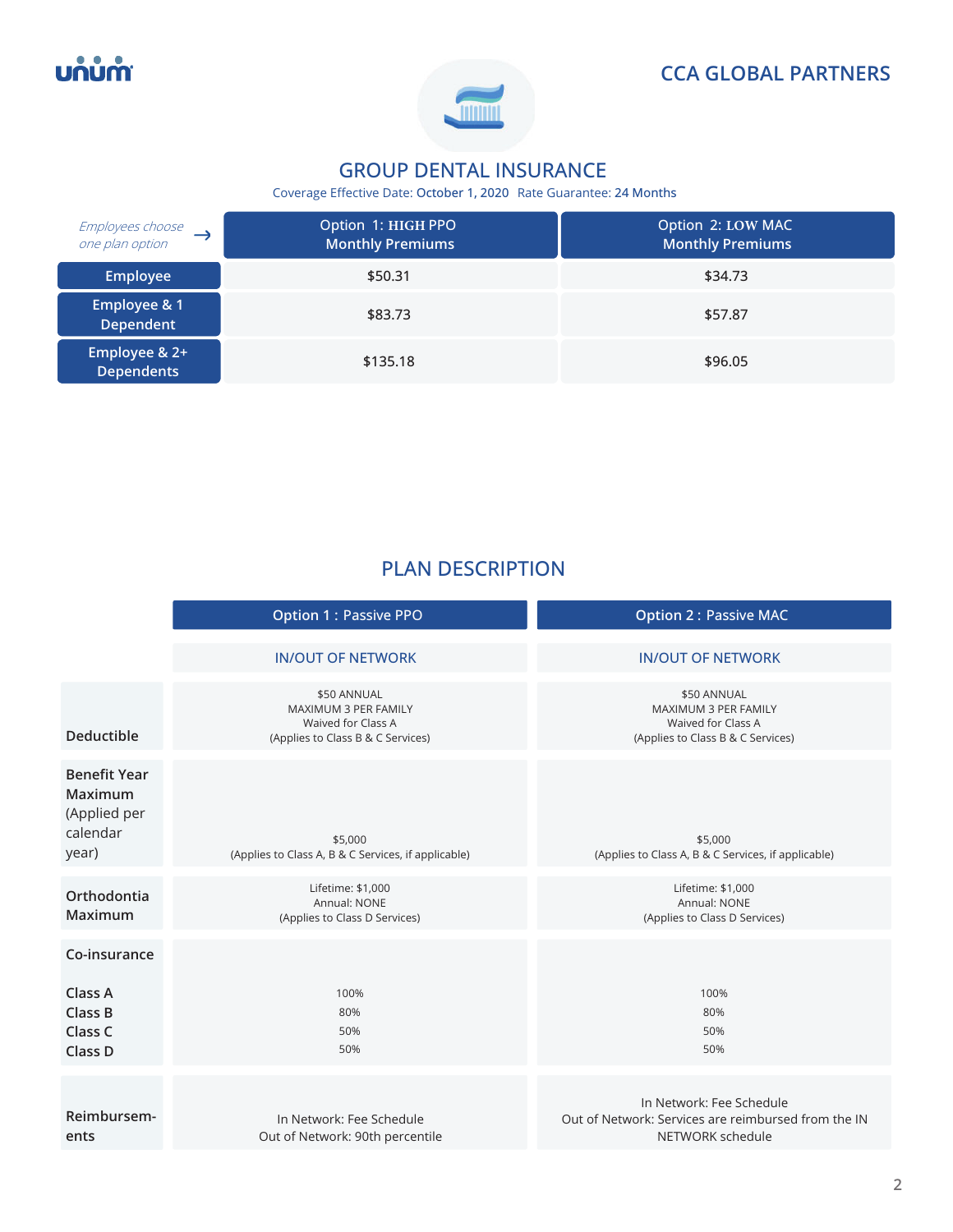บกบท





# **GROUP DENTAL INSURANCE**

Coverage Effective Date: **October 1, 2020** Rate Guarantee: **24 Months** 

| Employees choose<br>one plan option         | Option 1: HIGH PPO<br><b>Monthly Premiums</b> | Option 2: LOW MAC<br><b>Monthly Premiums</b> |
|---------------------------------------------|-----------------------------------------------|----------------------------------------------|
| <b>Employee</b>                             | \$50.31                                       | \$34.73                                      |
| <b>Employee &amp; 1</b><br><b>Dependent</b> | \$83.73                                       | \$57.87                                      |
| Employee & 2+<br><b>Dependents</b>          | \$135.18                                      | \$96.05                                      |

# **PLAN DESCRIPTION**

|                                                                     | <b>Option 1: Passive PPO</b>                                                                   | <b>Option 2: Passive MAC</b>                                                                        |
|---------------------------------------------------------------------|------------------------------------------------------------------------------------------------|-----------------------------------------------------------------------------------------------------|
|                                                                     | <b>IN/OUT OF NETWORK</b>                                                                       | <b>IN/OUT OF NETWORK</b>                                                                            |
| <b>Deductible</b>                                                   | \$50 ANNUAL<br>MAXIMUM 3 PER FAMILY<br>Waived for Class A<br>(Applies to Class B & C Services) | \$50 ANNUAL<br>MAXIMUM 3 PER FAMILY<br>Waived for Class A<br>(Applies to Class B & C Services)      |
| <b>Benefit Year</b><br>Maximum<br>(Applied per<br>calendar<br>year) | \$5,000<br>(Applies to Class A, B & C Services, if applicable)                                 | \$5,000<br>(Applies to Class A, B & C Services, if applicable)                                      |
| Orthodontia<br>Maximum                                              | Lifetime: \$1,000<br>Annual: NONE<br>(Applies to Class D Services)                             | Lifetime: \$1,000<br>Annual: NONE<br>(Applies to Class D Services)                                  |
| Co-insurance<br>Class A<br>Class B<br>Class C<br>Class D            | 100%<br>80%<br>50%<br>50%                                                                      | 100%<br>80%<br>50%<br>50%                                                                           |
| Reimbursem-<br>ents                                                 | In Network: Fee Schedule<br>Out of Network: 90th percentile                                    | In Network: Fee Schedule<br>Out of Network: Services are reimbursed from the IN<br>NETWORK schedule |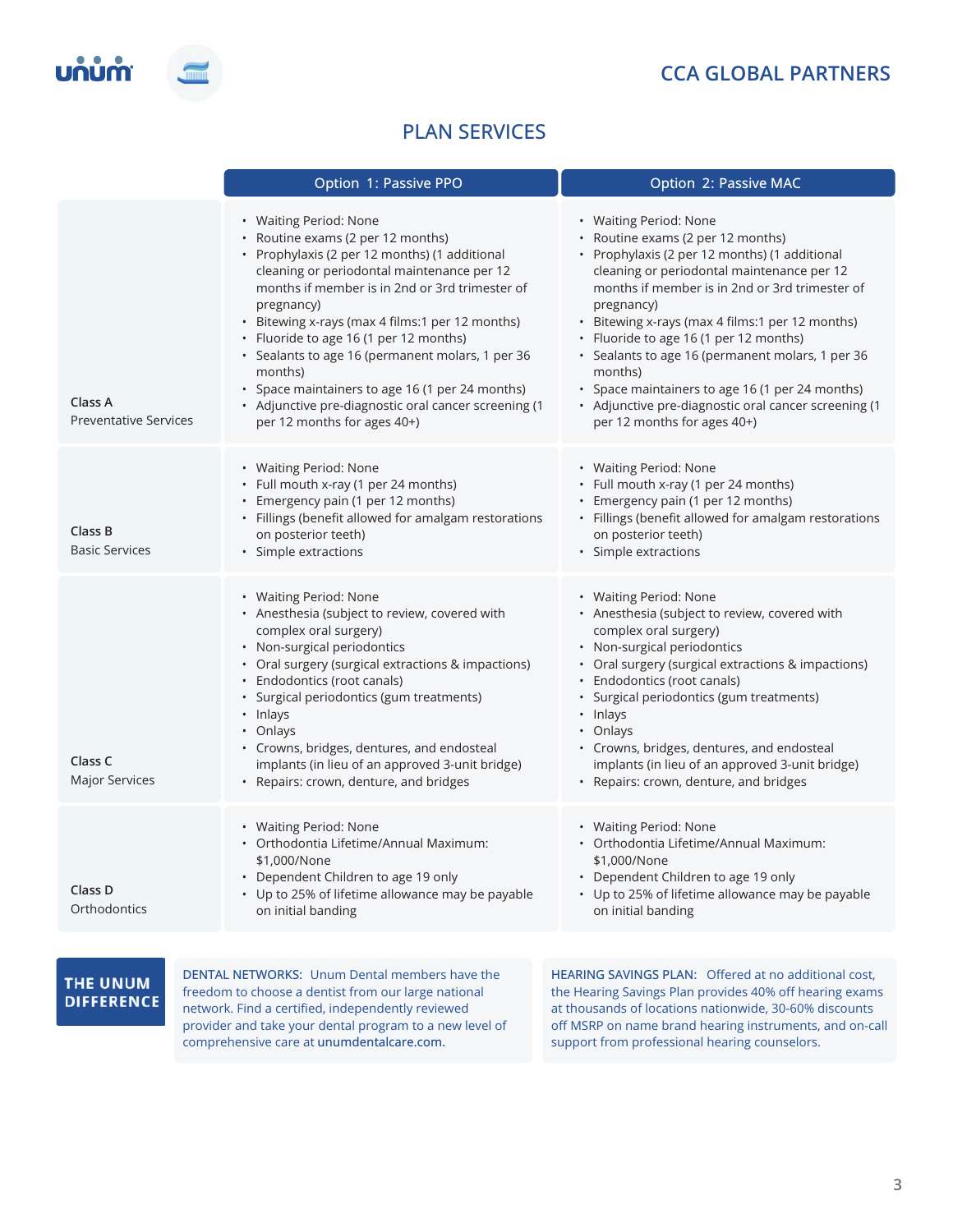# **CCA GLOBAL PARTNERS**



# **PLAN SERVICES**

|                                         | Option 1: Passive PPO                                                                                                                                                                                                                                                                                                                                                                                                                                                                                                            | Option 2: Passive MAC                                                                                                                                                                                                                                                                                                                                                                                                                                                                                                            |
|-----------------------------------------|----------------------------------------------------------------------------------------------------------------------------------------------------------------------------------------------------------------------------------------------------------------------------------------------------------------------------------------------------------------------------------------------------------------------------------------------------------------------------------------------------------------------------------|----------------------------------------------------------------------------------------------------------------------------------------------------------------------------------------------------------------------------------------------------------------------------------------------------------------------------------------------------------------------------------------------------------------------------------------------------------------------------------------------------------------------------------|
| Class A<br><b>Preventative Services</b> | • Waiting Period: None<br>• Routine exams (2 per 12 months)<br>• Prophylaxis (2 per 12 months) (1 additional<br>cleaning or periodontal maintenance per 12<br>months if member is in 2nd or 3rd trimester of<br>pregnancy)<br>• Bitewing x-rays (max 4 films:1 per 12 months)<br>• Fluoride to age 16 (1 per 12 months)<br>• Sealants to age 16 (permanent molars, 1 per 36<br>months)<br>• Space maintainers to age 16 (1 per 24 months)<br>• Adjunctive pre-diagnostic oral cancer screening (1<br>per 12 months for ages 40+) | • Waiting Period: None<br>• Routine exams (2 per 12 months)<br>• Prophylaxis (2 per 12 months) (1 additional<br>cleaning or periodontal maintenance per 12<br>months if member is in 2nd or 3rd trimester of<br>pregnancy)<br>· Bitewing x-rays (max 4 films:1 per 12 months)<br>• Fluoride to age 16 (1 per 12 months)<br>• Sealants to age 16 (permanent molars, 1 per 36<br>months)<br>• Space maintainers to age 16 (1 per 24 months)<br>• Adjunctive pre-diagnostic oral cancer screening (1<br>per 12 months for ages 40+) |
| Class B<br><b>Basic Services</b>        | • Waiting Period: None<br>• Full mouth x-ray (1 per 24 months)<br>• Emergency pain (1 per 12 months)<br>• Fillings (benefit allowed for amalgam restorations<br>on posterior teeth)<br>· Simple extractions                                                                                                                                                                                                                                                                                                                      | • Waiting Period: None<br>• Full mouth x-ray (1 per 24 months)<br>• Emergency pain (1 per 12 months)<br>• Fillings (benefit allowed for amalgam restorations<br>on posterior teeth)<br>· Simple extractions                                                                                                                                                                                                                                                                                                                      |
| Class C<br>Major Services               | • Waiting Period: None<br>• Anesthesia (subject to review, covered with<br>complex oral surgery)<br>• Non-surgical periodontics<br>• Oral surgery (surgical extractions & impactions)<br>• Endodontics (root canals)<br>· Surgical periodontics (gum treatments)<br>· Inlays<br>• Onlays<br>• Crowns, bridges, dentures, and endosteal<br>implants (in lieu of an approved 3-unit bridge)<br>• Repairs: crown, denture, and bridges                                                                                              | • Waiting Period: None<br>• Anesthesia (subject to review, covered with<br>complex oral surgery)<br>• Non-surgical periodontics<br>• Oral surgery (surgical extractions & impactions)<br>• Endodontics (root canals)<br>· Surgical periodontics (gum treatments)<br>• Inlays<br>• Onlays<br>• Crowns, bridges, dentures, and endosteal<br>implants (in lieu of an approved 3-unit bridge)<br>• Repairs: crown, denture, and bridges                                                                                              |
| Class D<br>Orthodontics                 | • Waiting Period: None<br>• Orthodontia Lifetime/Annual Maximum:<br>\$1,000/None<br>• Dependent Children to age 19 only<br>• Up to 25% of lifetime allowance may be payable<br>on initial banding                                                                                                                                                                                                                                                                                                                                | • Waiting Period: None<br>• Orthodontia Lifetime/Annual Maximum:<br>\$1,000/None<br>• Dependent Children to age 19 only<br>• Up to 25% of lifetime allowance may be payable<br>on initial banding                                                                                                                                                                                                                                                                                                                                |

### THE UNUM **DIFFERENCE**

**DENTAL NETWORKS:** Unum Dental members have the freedom to choose a dentist from our large national network. Find a certified, independently reviewed provider and take your dental program to a new level of comprehensive care at **unumdentalcare.com.** 

**HEARING SAVINGS PLAN:** Offered at no additional cost, the Hearing Savings Plan provides 40% off hearing exams at thousands of locations nationwide, 30-60% discounts off MSRP on name brand hearing instruments, and on-call support from professional hearing counselors.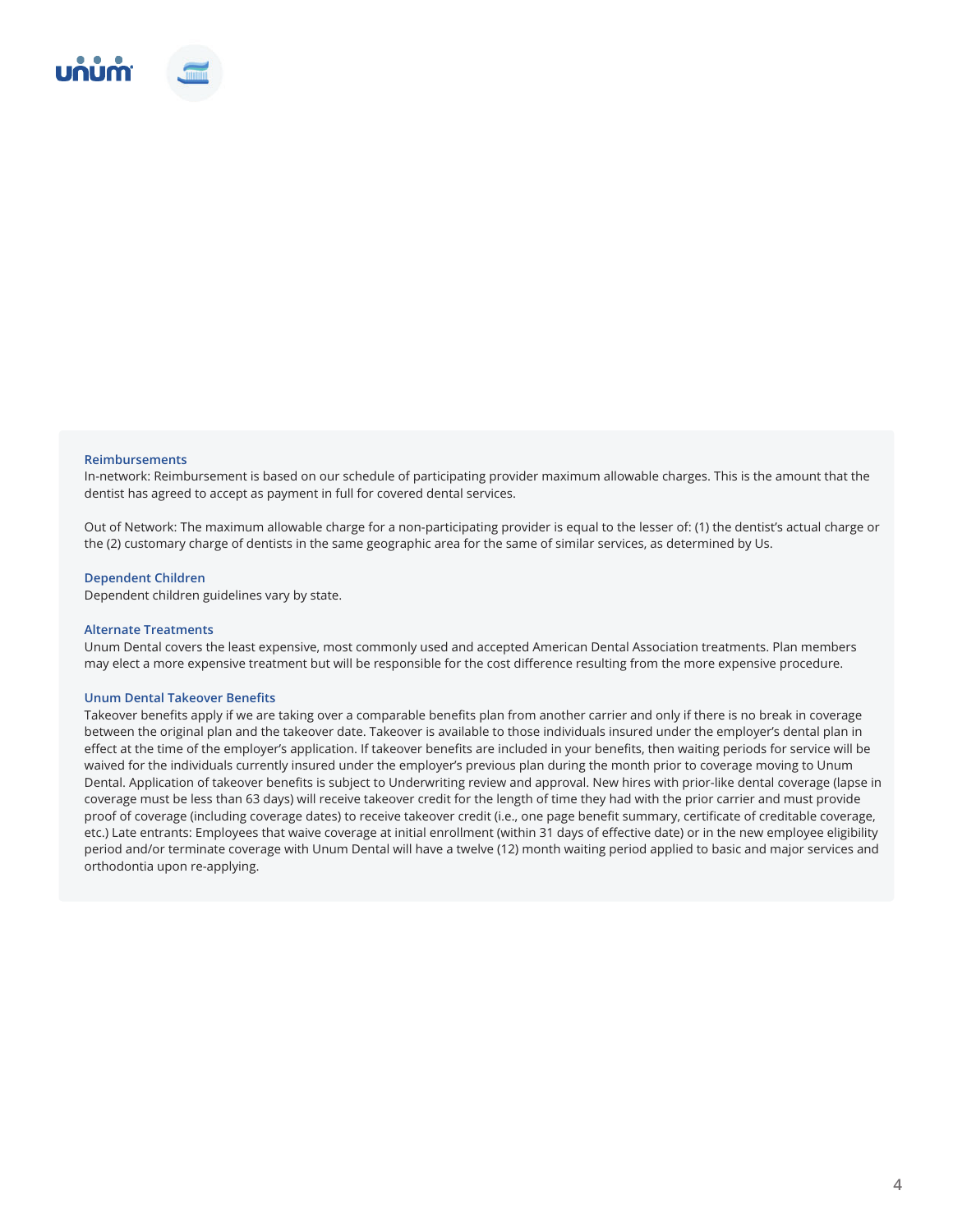

#### **Reimbursements**

In-network: Reimbursement is based on our schedule of participating provider maximum allowable charges. This is the amount that the dentist has agreed to accept as payment in full for covered dental services.

Out of Network: The maximum allowable charge for a non-participating provider is equal to the lesser of: (1) the dentist's actual charge or the (2) customary charge of dentists in the same geographic area for the same of similar services, as determined by Us.

#### **Dependent Children**

Dependent children guidelines vary by state.

#### **Alternate Treatments**

Unum Dental covers the least expensive, most commonly used and accepted American Dental Association treatments. Plan members may elect a more expensive treatment but will be responsible for the cost difference resulting from the more expensive procedure.

#### **Unum Dental Takeover Benefits**

Takeover benefits apply if we are taking over a comparable benefits plan from another carrier and only if there is no break in coverage between the original plan and the takeover date. Takeover is available to those individuals insured under the employer's dental plan in effect at the time of the employer's application. If takeover benefits are included in your benefits, then waiting periods for service will be waived for the individuals currently insured under the employer's previous plan during the month prior to coverage moving to Unum Dental. Application of takeover benefits is subject to Underwriting review and approval. New hires with prior-like dental coverage (lapse in coverage must be less than 63 days) will receive takeover credit for the length of time they had with the prior carrier and must provide proof of coverage (including coverage dates) to receive takeover credit (i.e., one page benefit summary, certificate of creditable coverage, etc.) Late entrants: Employees that waive coverage at initial enrollment (within 31 days of effective date) or in the new employee eligibility period and/or terminate coverage with Unum Dental will have a twelve (12) month waiting period applied to basic and major services and orthodontia upon re-applying.